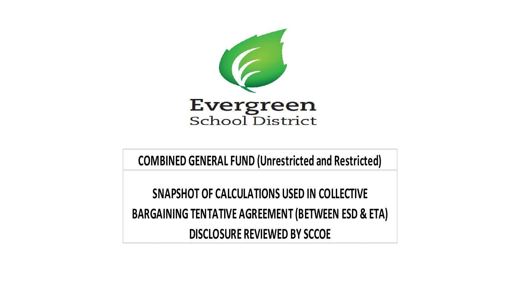

**COMBINED GENERAL FUND (Unrestricted and Restricted)**

**SNAPSHOT OF CALCULATIONS USED IN COLLECTIVE BARGAINING TENTATIVE AGREEMENT (BETWEEN ESD & ETA) DISCLOSURE REVIEWED BY SCCOE**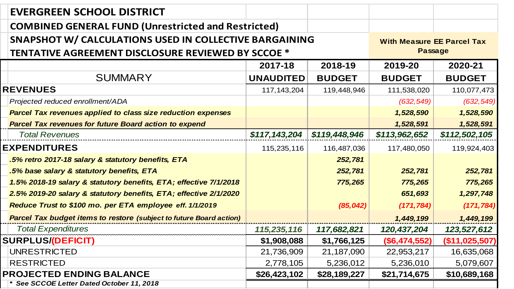| <b>EVERGREEN SCHOOL DISTRICT</b>                                           |                  |                                   |                 |                |
|----------------------------------------------------------------------------|------------------|-----------------------------------|-----------------|----------------|
| <b>COMBINED GENERAL FUND (Unrestricted and Restricted)</b>                 |                  |                                   |                 |                |
| SNAPSHOT W/ CALCULATIONS USED IN COLLECTIVE BARGAINING                     |                  | <b>With Measure EE Parcel Tax</b> |                 |                |
| <b>TENTATIVE AGREEMENT DISCLOSURE REVIEWED BY SCCOE *</b>                  |                  | <b>Passage</b>                    |                 |                |
|                                                                            | 2017-18          | 2018-19                           | 2019-20         | 2020-21        |
| <b>SUMMARY</b>                                                             | <b>UNAUDITED</b> | <b>BUDGET</b>                     | <b>BUDGET</b>   | <b>BUDGET</b>  |
| <b>REVENUES</b>                                                            | 117, 143, 204    | 119,448,946                       | 111,538,020     | 110,077,473    |
| Projected reduced enrollment/ADA                                           |                  |                                   | (632, 549)      | (632, 549)     |
| <b>Parcel Tax revenues applied to class size reduction expenses</b>        |                  |                                   | 1,528,590       | 1,528,590      |
| <b>Parcel Tax revenues for future Board action to expend</b>               |                  |                                   | 1,528,591       | 1,528,591      |
| <b>Total Revenues</b>                                                      | \$117,143,204    | \$119,448,946                     | \$113,962,652   | \$112,502,105  |
| <b>EXPENDITURES</b>                                                        | 115,235,116      | 116,487,036                       | 117,480,050     | 119,924,403    |
| .5% retro 2017-18 salary & statutory benefits, ETA                         |                  | 252,781                           |                 |                |
| .5% base salary & statutory benefits, ETA                                  |                  | 252,781                           | 252,781         | 252,781        |
| 1.5% 2018-19 salary & statutory benefits, ETA; effective 7/1/2018          |                  | 775,265                           | 775,265         | 775,265        |
| 2.5% 2019-20 salary & statutory benefits, ETA; effective 2/1/2020          |                  |                                   | 651,693         | 1,297,748      |
| Reduce Trust to \$100 mo. per ETA employee eff. 1/1/2019                   |                  | (85, 042)                         | (171, 784)      | (171, 784)     |
| <b>Parcel Tax budget items to restore (subject to future Board action)</b> |                  |                                   | 1,449,199       | 1,449,199      |
| <b>Total Expenditures</b>                                                  | 115,235,116      | 117,682,821                       | 120,437,204     | 123,527,612    |
| <b>SURPLUS/(DEFICIT)</b>                                                   | \$1,908,088      | \$1,766,125                       | $(\$6,474,552)$ | (\$11,025,507) |
| <b>UNRESTRICTED</b>                                                        | 21,736,909       | 21,187,090                        | 22,953,217      | 16,635,068     |
| <b>RESTRICTED</b>                                                          | 2,778,105        | 5,236,012                         | 5,236,010       | 5,079,607      |
| <b>PROJECTED ENDING BALANCE</b>                                            | \$26,423,102     | \$28,189,227                      | \$21,714,675    | \$10,689,168   |
| * See SCCOE Letter Dated October 11, 2018                                  |                  |                                   |                 |                |